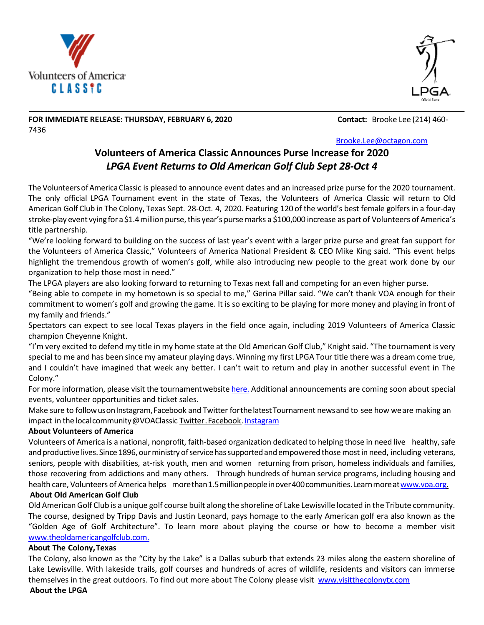



#### **FOR IMMEDIATE RELEASE: THURSDAY, FEBRUARY 6, 2020 Contact:** Brooke Lee (214) 460- 7436

[Brooke.Lee@octagon.com](mailto:Brooke.Lee@octagon.com)

# **Volunteers of America Classic Announces Purse Increase for 2020** *LPGA Event Returns to Old American Golf Club Sept 28-Oct 4*

The Volunteers of America Classic is pleased to announce event dates and an increased prize purse for the 2020 tournament. The only official LPGA Tournament event in the state of Texas, the Volunteers of America Classic will return to Old American Golf Club in The Colony, Texas Sept. 28-Oct. 4, 2020. Featuring 120 of the world's best female golfers in a four-day stroke-play event vying for a \$1.4 million purse, this year's purse marks a \$100,000 increase as part of Volunteers of America's title partnership.

"We're looking forward to building on the success of last year's event with a larger prize purse and great fan support for the Volunteers of America Classic," Volunteers of America National President & CEO Mike King said. "This event helps highlight the tremendous growth of women's golf, while also introducing new people to the great work done by our organization to help those most in need."

The LPGA players are also looking forward to returning to Texas next fall and competing for an even higher purse.

"Being able to compete in my hometown is so special to me," Gerina Pillar said. "We can't thank VOA enough for their commitment to women's golf and growing the game. It is so exciting to be playing for more money and playing in front of my family and friends."

Spectators can expect to see local Texas players in the field once again, including 2019 Volunteers of America Classic champion Cheyenne Knight.

"I'm very excited to defend my title in my home state at the Old American Golf Club," Knight said. "The tournament is very special to me and has been since my amateur playing days. Winning my first LPGA Tour title there was a dream come true, and I couldn't have imagined that week any better. I can't wait to return and play in another successful event in The Colony."

For more information, please visit the tournamentwebsit[e here.](https://protect-us.mimecast.com/s/TaqHCKrRYYtqy4LuNoNPw?domain=u7061146.ct.sendgrid.net) Additional announcements are coming soon about special events, volunteer opportunities and ticket sales.

Make sure to followusonInstagram,Facebook and Twitter forthelatestTournament newsand to see how weare making an impact in the local community @VOAClassic Twitter. Facebook. [Instagram](https://protect-us.mimecast.com/s/EkTECNkREEFNqjoigrC8Z?domain=u7061146.ct.sendgrid.net)

## **About Volunteers of America**

Volunteers of America is a national, nonprofit, faith-based organization dedicated to helping those in need live healthy, safe and productive lives. Since 1896, our ministry of service has supported and empowered those most in need, including veterans, seniors, people with disabilities, at-risk youth, men and women returning from prison, homeless individuals and families, those recovering from addictions and many others. Through hundreds of human service programs, including housing and health care, Volunteers of America helps more than 1.5 million people in over 400 communities. Learn more at www.voa.org.

### **About Old American Golf Club**

Old American Golf Club is a unique golf course built along the shoreline of Lake Lewisville located in the Tribute community. The course, designed by Tripp Davis and Justin Leonard, pays homage to the early American golf era also known as the "Golden Age of Golf Architecture". To learn more about playing the course or how to become a member visit [www.theoldamericangolfclub.com.](https://protect-us.mimecast.com/s/kH1gCPN8MMU413QHkNUWk?domain=u7061146.ct.sendgrid.net)

### **About The Colony,Texas**

The Colony, also known as the "City by the Lake" is a Dallas suburb that extends 23 miles along the eastern shoreline of Lake Lewisville. With lakeside trails, golf courses and hundreds of acres of wildlife, residents and visitors can immerse themselves in the great outdoors. To find out more about The Colony please visit [www.visitthecolonytx.com](https://protect-us.mimecast.com/s/JMZ-CQWRNNF61o7i0rWd2?domain=u7061146.ct.sendgrid.net) **About the LPGA**